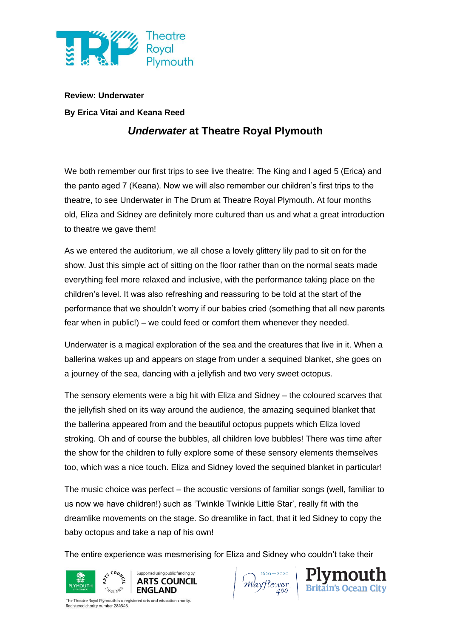

**Review: Underwater**

## **By Erica Vitai and Keana Reed**

## *Underwater* **at Theatre Royal Plymouth**

We both remember our first trips to see live theatre: The King and I aged 5 (Erica) and the panto aged 7 (Keana). Now we will also remember our children's first trips to the theatre, to see Underwater in The Drum at Theatre Royal Plymouth. At four months old, Eliza and Sidney are definitely more cultured than us and what a great introduction to theatre we gave them!

As we entered the auditorium, we all chose a lovely glittery lily pad to sit on for the show. Just this simple act of sitting on the floor rather than on the normal seats made everything feel more relaxed and inclusive, with the performance taking place on the children's level. It was also refreshing and reassuring to be told at the start of the performance that we shouldn't worry if our babies cried (something that all new parents fear when in public!) – we could feed or comfort them whenever they needed.

Underwater is a magical exploration of the sea and the creatures that live in it. When a ballerina wakes up and appears on stage from under a sequined blanket, she goes on a journey of the sea, dancing with a jellyfish and two very sweet octopus.

The sensory elements were a big hit with Eliza and Sidney – the coloured scarves that the jellyfish shed on its way around the audience, the amazing sequined blanket that the ballerina appeared from and the beautiful octopus puppets which Eliza loved stroking. Oh and of course the bubbles, all children love bubbles! There was time after the show for the children to fully explore some of these sensory elements themselves too, which was a nice touch. Eliza and Sidney loved the sequined blanket in particular!

The music choice was perfect – the acoustic versions of familiar songs (well, familiar to us now we have children!) such as 'Twinkle Twinkle Little Star', really fit with the dreamlike movements on the stage. So dreamlike in fact, that it led Sidney to copy the baby octopus and take a nap of his own!

The entire experience was mesmerising for Eliza and Sidney who couldn't take their



Mayflower